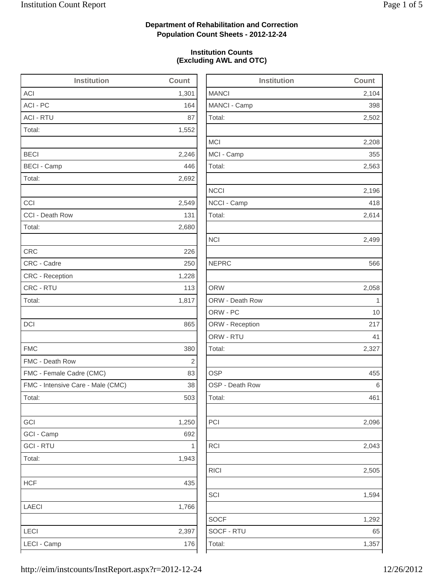2,502

2,208

2,563

2,196

2,614

2,096

2,043

2,505

1,594

1,292

## **Department of Rehabilitation and Correction Population Count Sheets - 2012-12-24**

### **Institution Counts (Excluding AWL and OTC)**

| <b>Institution</b>                | Count | <b>Institution</b> | Count |
|-----------------------------------|-------|--------------------|-------|
| ACI                               | 1,301 | <b>MANCI</b>       | 2,104 |
| ACI - PC                          | 164   | MANCI - Camp       | 398   |
| <b>ACI - RTU</b>                  | 87    | Total:             | 2,502 |
| Total:                            | 1,552 |                    |       |
|                                   |       | <b>MCI</b>         | 2,208 |
| <b>BECI</b>                       | 2,246 | MCI - Camp         | 355   |
| <b>BECI - Camp</b>                | 446   | Total:             | 2,563 |
| Total:                            | 2,692 |                    |       |
|                                   |       | <b>NCCI</b>        | 2,196 |
| CCI                               | 2,549 | NCCI - Camp        | 418   |
| CCI - Death Row                   | 131   | Total:             | 2,614 |
| Total:                            | 2,680 |                    |       |
|                                   |       | <b>NCI</b>         | 2,499 |
| <b>CRC</b>                        | 226   |                    |       |
| CRC - Cadre                       | 250   | <b>NEPRC</b>       | 566   |
| <b>CRC</b> - Reception            | 1,228 |                    |       |
| CRC - RTU                         | 113   | <b>ORW</b>         | 2,058 |
| Total:                            | 1,817 | ORW - Death Row    | 1     |
|                                   |       | ORW - PC           | 10    |
| <b>DCI</b>                        | 865   | ORW - Reception    | 217   |
|                                   |       | ORW - RTU          | 41    |
| <b>FMC</b>                        | 380   | Total:             | 2,327 |
| FMC - Death Row                   | 2     |                    |       |
| FMC - Female Cadre (CMC)          | 83    | <b>OSP</b>         | 455   |
| FMC - Intensive Care - Male (CMC) | 38    | OSP - Death Row    | 6     |
| Total:                            | 503   | Total:             | 461   |
| GCI                               | 1,250 | PCI                | 2,096 |
| GCI - Camp                        | 692   |                    |       |
| <b>GCI - RTU</b>                  | 1     | <b>RCI</b>         | 2,043 |
| Total:                            | 1,943 |                    |       |
|                                   |       | <b>RICI</b>        | 2,505 |
| <b>HCF</b>                        | 435   |                    |       |
|                                   |       | SCI                | 1,594 |
| <b>LAECI</b>                      | 1,766 |                    |       |
|                                   |       | <b>SOCF</b>        | 1,292 |
| LECI                              | 2,397 | SOCF - RTU         | 65    |
| LECI - Camp                       | 176   | Total:             | 1,357 |
|                                   |       |                    |       |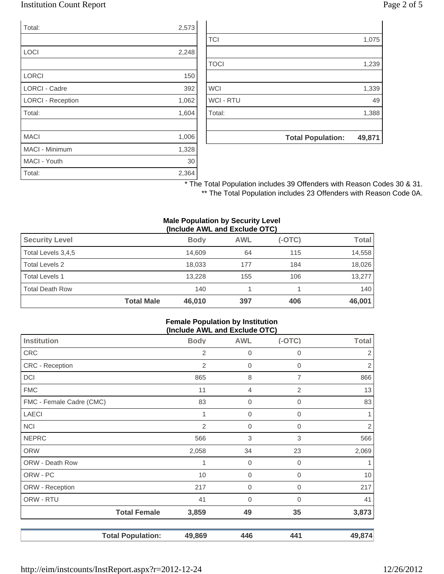## Institution Count Report Page 2 of 5

| Total:                   | 2,573 |
|--------------------------|-------|
|                          |       |
| LOCI                     | 2,248 |
|                          |       |
| <b>LORCI</b>             | 150   |
| <b>LORCI - Cadre</b>     | 392   |
| <b>LORCI - Reception</b> | 1,062 |
| Total:                   | 1,604 |
|                          |       |
| <b>MACI</b>              | 1,006 |
| <b>MACI - Minimum</b>    | 1,328 |
| MACI - Youth             | 30    |
| Total:                   | 2,364 |

|                  | <b>Total Population:</b> | 49,871 |
|------------------|--------------------------|--------|
|                  |                          |        |
| Total:           |                          | 1,388  |
| <b>WCI - RTU</b> |                          | 49     |
| <b>WCI</b>       |                          | 1,339  |
|                  |                          |        |
| <b>TOCI</b>      |                          | 1,239  |
|                  |                          |        |
| <b>TCI</b>       |                          | 1,075  |
|                  |                          |        |

\* The Total Population includes 39 Offenders with Reason Codes 30 & 31. \*\* The Total Population includes 23 Offenders with Reason Code 0A.

#### **Male Population by Security Level (Include AWL and Exclude OTC)**

| <b>Security Level</b>  |                   | <b>Body</b> | <b>AWL</b> | $(-OTC)$ | Total  |
|------------------------|-------------------|-------------|------------|----------|--------|
| Total Levels 3,4,5     |                   | 14.609      | 64         | 115      | 14,558 |
| Total Levels 2         |                   | 18.033      | 177        | 184      | 18,026 |
| <b>Total Levels 1</b>  |                   | 13.228      | 155        | 106      | 13.277 |
| <b>Total Death Row</b> |                   | 140         |            |          | 140    |
|                        | <b>Total Male</b> | 46,010      | 397        | 406      | 46,001 |

#### **Female Population by Institution (Include AWL and Exclude OTC)**

| <b>Institution</b>       | <b>Body</b>    | <b>AWL</b>  | $ -$<br>$(-OTC)$ | <b>Total</b>   |
|--------------------------|----------------|-------------|------------------|----------------|
|                          |                |             |                  |                |
| <b>CRC</b>               | 2              | $\mathbf 0$ | 0                | 2              |
| CRC - Reception          | $\overline{2}$ | 0           | $\mathbf 0$      | $\overline{c}$ |
| DCI                      | 865            | 8           | 7                | 866            |
| <b>FMC</b>               | 11             | 4           | $\mathbf{2}$     | 13             |
| FMC - Female Cadre (CMC) | 83             | 0           | 0                | 83             |
| <b>LAECI</b>             |                | $\mathbf 0$ | 0                | 1              |
| <b>NCI</b>               | $\mathbf{2}$   | $\mathbf 0$ | 0                | $\sqrt{2}$     |
| <b>NEPRC</b>             | 566            | 3           | 3                | 566            |
| <b>ORW</b>               | 2,058          | 34          | 23               | 2,069          |
| ORW - Death Row          |                | $\mathbf 0$ | $\mathbf 0$      | 1              |
| ORW - PC                 | 10             | 0           | 0                | $10$           |
| ORW - Reception          | 217            | $\mathbf 0$ | 0                | 217            |
| ORW - RTU                | 41             | 0           | 0                | 41             |
| <b>Total Female</b>      | 3,859          | 49          | 35               | 3,873          |
| <b>Total Population:</b> | 49,869         | 446         | 441              | 49,874         |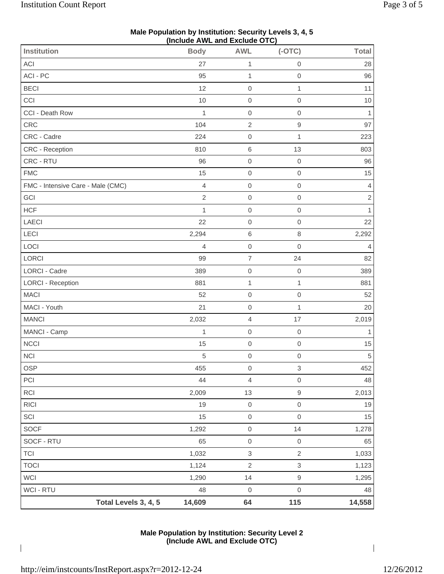| (Include AWL and Exclude OTC)     |                |                          |                  |                |  |
|-----------------------------------|----------------|--------------------------|------------------|----------------|--|
| <b>Institution</b>                | <b>Body</b>    | <b>AWL</b>               | $(-OTC)$         | <b>Total</b>   |  |
| ACI                               | 27             | 1                        | $\mathbf 0$      | 28             |  |
| ACI - PC                          | 95             | $\mathbf{1}$             | $\mathbf 0$      | 96             |  |
| <b>BECI</b>                       | 12             | $\mathbf 0$              | $\mathbf{1}$     | 11             |  |
| CCI                               | 10             | $\mathbf 0$              | $\mathbf 0$      | $10$           |  |
| CCI - Death Row                   | $\mathbf{1}$   | $\mbox{O}$               | $\mathbf 0$      | $\mathbf{1}$   |  |
| CRC                               | 104            | $\sqrt{2}$               | $\hbox{9}$       | 97             |  |
| CRC - Cadre                       | 224            | $\mathbf 0$              | $\mathbf{1}$     | 223            |  |
| CRC - Reception                   | 810            | $\,6\,$                  | 13               | 803            |  |
| CRC - RTU                         | 96             | $\mathbf 0$              | $\mathbf 0$      | 96             |  |
| <b>FMC</b>                        | 15             | $\mbox{O}$               | $\mbox{O}$       | 15             |  |
| FMC - Intensive Care - Male (CMC) | $\overline{4}$ | $\mathsf 0$              | $\mathbf 0$      | $\overline{4}$ |  |
| GCI                               | $\sqrt{2}$     | $\mathbf 0$              | $\mathbf 0$      | $\sqrt{2}$     |  |
| <b>HCF</b>                        | 1              | $\mathbf 0$              | $\mathbf 0$      | $\mathbf{1}$   |  |
| <b>LAECI</b>                      | 22             | $\mathbf 0$              | $\boldsymbol{0}$ | 22             |  |
| LECI                              | 2,294          | $\,6\,$                  | 8                | 2,292          |  |
| LOCI                              | $\overline{4}$ | $\mathbf 0$              | $\mathbf 0$      | $\overline{4}$ |  |
| LORCI                             | 99             | $\overline{7}$           | 24               | 82             |  |
| LORCI - Cadre                     | 389            | $\mathsf{O}\xspace$      | $\mathbf 0$      | 389            |  |
| LORCI - Reception                 | 881            | $\mathbf 1$              | $\mathbf{1}$     | 881            |  |
| <b>MACI</b>                       | 52             | $\mbox{O}$               | $\mathbf 0$      | 52             |  |
| MACI - Youth                      | 21             | $\mathbf 0$              | $\mathbf{1}$     | 20             |  |
| <b>MANCI</b>                      | 2,032          | $\overline{\mathcal{L}}$ | 17               | 2,019          |  |
| MANCI - Camp                      | $\mathbf{1}$   | $\mathbf 0$              | $\mathbf 0$      | 1              |  |
| <b>NCCI</b>                       | 15             | $\mbox{O}$               | $\mathbf 0$      | 15             |  |
| <b>NCI</b>                        | $\,$ 5 $\,$    | $\mbox{O}$               | $\mbox{O}$       | $\overline{5}$ |  |
| <b>OSP</b>                        | 455            | $\boldsymbol{0}$         | 3                | 452            |  |
| PCI                               | 44             | 4                        | $\mbox{O}$       | 48             |  |
| RCI                               | 2,009          | 13                       | $\hbox{9}$       | 2,013          |  |
| <b>RICI</b>                       | 19             | $\boldsymbol{0}$         | $\mbox{O}$       | 19             |  |
| SCI                               | 15             | $\mathsf{O}\xspace$      | $\mathbf 0$      | 15             |  |
| SOCF                              | 1,292          | $\mbox{O}$               | 14               | 1,278          |  |
| SOCF - RTU                        | 65             | $\mbox{O}$               | $\mbox{O}$       | 65             |  |
| <b>TCI</b>                        | 1,032          | 3                        | $\sqrt{2}$       | 1,033          |  |
| <b>TOCI</b>                       | 1,124          | $\sqrt{2}$               | 3                | 1,123          |  |
| WCI                               | 1,290          | 14                       | 9                | 1,295          |  |
| WCI - RTU                         | 48             | $\boldsymbol{0}$         | $\mbox{O}$       | 48             |  |
| Total Levels 3, 4, 5              | 14,609         | 64                       | 115              | 14,558         |  |

### **Male Population by Institution: Security Levels 3, 4, 5 (Include AWL and Exclude OTC)**

**Male Population by Institution: Security Level 2 (Include AWL and Exclude OTC)**

 $\overline{\phantom{a}}$ 

 $\overline{\phantom{a}}$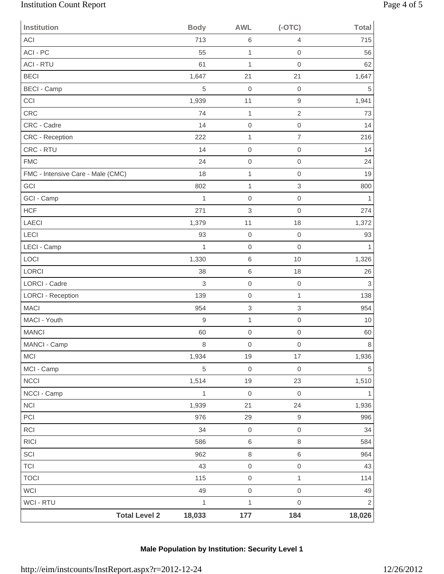# Institution Count Report Page 4 of 5

| Institution                       | <b>Body</b>      | <b>AWL</b>                | $(-OTC)$                  | <b>Total</b> |
|-----------------------------------|------------------|---------------------------|---------------------------|--------------|
| ACI                               | 713              | $\,6$                     | 4                         | 715          |
| ACI - PC                          | 55               | 1                         | $\mbox{O}$                | 56           |
| <b>ACI - RTU</b>                  | 61               | 1                         | $\mathbf 0$               | 62           |
| <b>BECI</b>                       | 1,647            | 21                        | 21                        | 1,647        |
| <b>BECI - Camp</b>                | 5                | $\mathbf 0$               | $\mathbf 0$               | $\,$ 5 $\,$  |
| CCI                               | 1,939            | 11                        | $\boldsymbol{9}$          | 1,941        |
| CRC                               | 74               | 1                         | $\overline{c}$            | 73           |
| CRC - Cadre                       | 14               | $\mathbf 0$               | $\mbox{O}$                | 14           |
| CRC - Reception                   | 222              | 1                         | $\overline{\mathcal{I}}$  | 216          |
| CRC - RTU                         | 14               | $\mathbf 0$               | $\mathbf 0$               | 14           |
| <b>FMC</b>                        | 24               | $\mathbf 0$               | $\mathbf 0$               | 24           |
| FMC - Intensive Care - Male (CMC) | 18               | 1                         | $\mathbf 0$               | 19           |
| GCI                               | 802              | $\mathbf{1}$              | $\ensuremath{\mathsf{3}}$ | 800          |
| GCI - Camp                        | $\mathbf 1$      | $\mbox{O}$                | $\mathbf 0$               | 1            |
| <b>HCF</b>                        | 271              | $\ensuremath{\mathsf{3}}$ | $\mathbf 0$               | 274          |
| LAECI                             | 1,379            | 11                        | 18                        | 1,372        |
| LECI                              | 93               | $\mbox{O}$                | $\mbox{O}$                | 93           |
| LECI - Camp                       | $\mathbf 1$      | $\mathbf 0$               | $\mathbf 0$               | 1            |
| LOCI                              | 1,330            | $\,6$                     | 10                        | 1,326        |
| LORCI                             | 38               | 6                         | 18                        | 26           |
| <b>LORCI - Cadre</b>              | 3                | $\mathbf 0$               | $\mbox{O}$                | 3            |
| <b>LORCI - Reception</b>          | 139              | $\mbox{O}$                | $\mathbf{1}$              | 138          |
| <b>MACI</b>                       | 954              | $\ensuremath{\mathsf{3}}$ | $\ensuremath{\mathsf{3}}$ | 954          |
| MACI - Youth                      | $\boldsymbol{9}$ | 1                         | $\,0\,$                   | 10           |
| <b>MANCI</b>                      | 60               | $\mathbf 0$               | $\mathbf 0$               | 60           |
| MANCI - Camp                      | $\,8\,$          | $\boldsymbol{0}$          | $\mathbf 0$               | 8            |
| <b>MCI</b>                        | 1,934            | 19                        | 17                        | 1,936        |
| MCI - Camp                        | $\sqrt{5}$       | $\mathsf{O}\xspace$       | $\boldsymbol{0}$          | $\,$ 5 $\,$  |
| NCCI                              | 1,514            | 19                        | 23                        | 1,510        |
| NCCI - Camp                       | $\mathbf{1}$     | $\mathsf{O}\xspace$       | $\mathbf 0$               | 1            |
| $\sf NC I$                        | 1,939            | 21                        | 24                        | 1,936        |
| PCI                               | 976              | 29                        | $\hbox{9}$                | 996          |
| RCI                               | 34               | $\mathsf{O}\xspace$       | $\mathbf 0$               | 34           |
| RICI                              | 586              | $\,6$                     | $\,8\,$                   | 584          |
| SCI                               | 962              | $\,8\,$                   | $\,6$                     | 964          |
| TCI                               | 43               | $\mathsf{O}\xspace$       | $\mbox{O}$                | 43           |
| <b>TOCI</b>                       | 115              | $\mathsf{O}\xspace$       | $\mathbf{1}$              | 114          |
| WCI                               | 49               | $\mathsf{O}\xspace$       | $\mbox{O}$                | 49           |
| WCI - RTU                         | $\mathbf{1}$     | $\mathbf{1}$              | $\mbox{O}$                | $\mathbf 2$  |
| <b>Total Level 2</b>              | 18,033           | $177$                     | 184                       | 18,026       |

# **Male Population by Institution: Security Level 1**